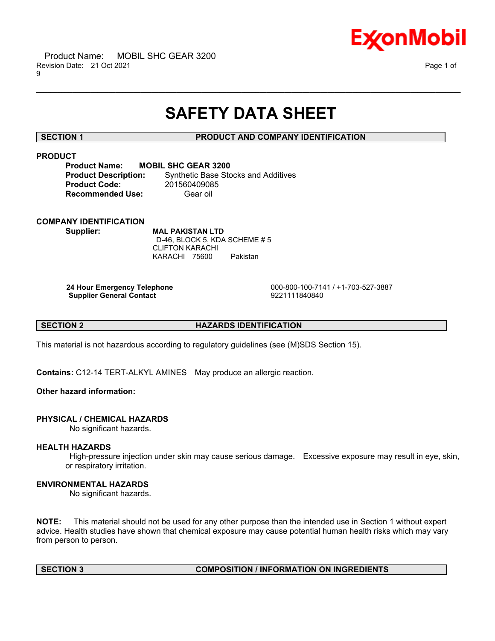

# **SAFETY DATA SHEET**

\_\_\_\_\_\_\_\_\_\_\_\_\_\_\_\_\_\_\_\_\_\_\_\_\_\_\_\_\_\_\_\_\_\_\_\_\_\_\_\_\_\_\_\_\_\_\_\_\_\_\_\_\_\_\_\_\_\_\_\_\_\_\_\_\_\_\_\_\_\_\_\_\_\_\_\_\_\_\_\_\_\_\_\_\_\_\_\_\_\_\_\_\_\_\_\_\_\_\_\_\_\_\_\_\_\_\_\_\_\_\_\_\_\_\_\_\_\_

# **SECTION 1 PRODUCT AND COMPANY IDENTIFICATION**

# **PRODUCT**

**Product Name: MOBIL SHC GEAR 3200 Product Code:** 201560409085 **Recommended Use:** Gear oil

**Product Description:** Synthetic Base Stocks and Additives

# **COMPANY IDENTIFICATION**

**Supplier: MAL PAKISTAN LTD** D-46, BLOCK 5, KDA SCHEME # 5 CLIFTON KARACHI KARACHI 75600 Pakistan

**Supplier General Contact** 

**24 Hour Emergency Telephone** 000-800-100-7141 / +1-703-527-3887

# **SECTION 2 HAZARDS IDENTIFICATION**

This material is not hazardous according to regulatory guidelines (see (M)SDS Section 15).

**Contains:** C12-14 TERT-ALKYL AMINES May produce an allergic reaction.

# **Other hazard information:**

# **PHYSICAL / CHEMICAL HAZARDS**

No significant hazards.

# **HEALTH HAZARDS**

High-pressure injection under skin may cause serious damage. Excessive exposure may result in eye, skin, or respiratory irritation.

# **ENVIRONMENTAL HAZARDS**

No significant hazards.

**NOTE:** This material should not be used for any other purpose than the intended use in Section 1 without expert advice. Health studies have shown that chemical exposure may cause potential human health risks which may vary from person to person.

# **SECTION 3 COMPOSITION / INFORMATION ON INGREDIENTS**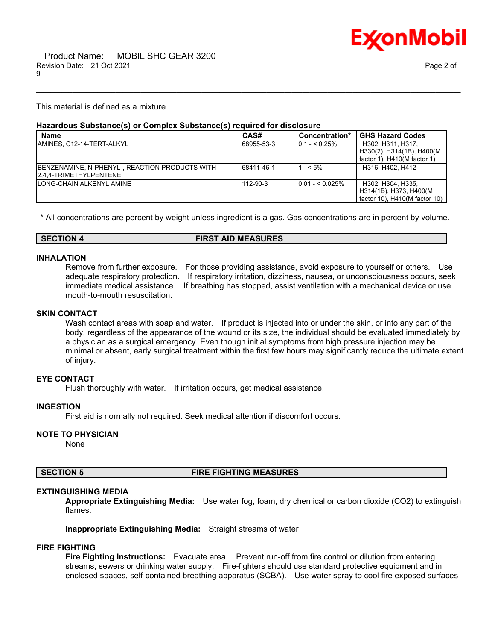

This material is defined as a mixture.

#### **Hazardous Substance(s) or Complex Substance(s) required for disclosure**

| <b>Name</b>                                                              | CAS#       | Concentration*   | <b>GHS Hazard Codes</b>                                                         |
|--------------------------------------------------------------------------|------------|------------------|---------------------------------------------------------------------------------|
| IAMINES. C12-14-TERT-ALKYL                                               | 68955-53-3 | $0.1 - 5.25\%$   | H302. H311. H317.<br>H330(2), H314(1B), H400(M<br>factor 1), $H410(M$ factor 1) |
| BENZENAMINE, N-PHENYL-, REACTION PRODUCTS WITH<br>2.4.4-TRIMETHYLPENTENE | 68411-46-1 | $1 - 5\%$        | H316, H402, H412                                                                |
| LONG-CHAIN ALKENYL AMINE                                                 | 112-90-3   | $0.01 - 5.025\%$ | H302, H304, H335.<br>H314(1B), H373, H400(M<br>factor 10), H410(M factor 10)    |

\_\_\_\_\_\_\_\_\_\_\_\_\_\_\_\_\_\_\_\_\_\_\_\_\_\_\_\_\_\_\_\_\_\_\_\_\_\_\_\_\_\_\_\_\_\_\_\_\_\_\_\_\_\_\_\_\_\_\_\_\_\_\_\_\_\_\_\_\_\_\_\_\_\_\_\_\_\_\_\_\_\_\_\_\_\_\_\_\_\_\_\_\_\_\_\_\_\_\_\_\_\_\_\_\_\_\_\_\_\_\_\_\_\_\_\_\_\_

\* All concentrations are percent by weight unless ingredient is a gas. Gas concentrations are in percent by volume.

#### **SECTION 4 FIRST AID MEASURES**

#### **INHALATION**

mouth-to-mouth resuscitation.

Remove from further exposure. For those providing assistance, avoid exposure to yourself or others. Use adequate respiratory protection. If respiratory irritation, dizziness, nausea, or unconsciousness occurs, seek immediate medical assistance. If breathing has stopped, assist ventilation with a mechanical device or use

# **SKIN CONTACT**

Wash contact areas with soap and water. If product is injected into or under the skin, or into any part of the body, regardless of the appearance of the wound or its size, the individual should be evaluated immediately by a physician as a surgical emergency. Even though initial symptoms from high pressure injection may be minimal or absent, early surgical treatment within the first few hours may significantly reduce the ultimate extent of injury.

# **EYE CONTACT**

Flush thoroughly with water. If irritation occurs, get medical assistance.

# **INGESTION**

First aid is normally not required. Seek medical attention if discomfort occurs.

#### **NOTE TO PHYSICIAN**

None

# **SECTION 5 FIRE FIGHTING MEASURES**

# **EXTINGUISHING MEDIA**

**Appropriate Extinguishing Media:** Use water fog, foam, dry chemical or carbon dioxide (CO2) to extinguish flames.

**Inappropriate Extinguishing Media:** Straight streams of water

# **FIRE FIGHTING**

**Fire Fighting Instructions:** Evacuate area. Prevent run-off from fire control or dilution from entering streams, sewers or drinking water supply. Fire-fighters should use standard protective equipment and in enclosed spaces, self-contained breathing apparatus (SCBA). Use water spray to cool fire exposed surfaces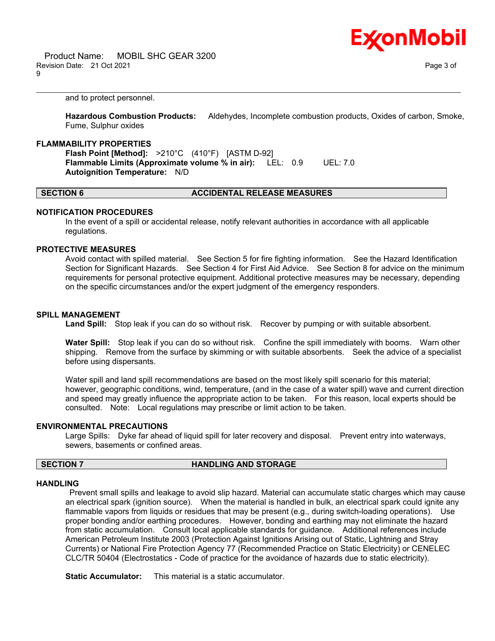

and to protect personnel.

**Hazardous Combustion Products:** Aldehydes, Incomplete combustion products, Oxides of carbon, Smoke, Fume, Sulphur oxides

\_\_\_\_\_\_\_\_\_\_\_\_\_\_\_\_\_\_\_\_\_\_\_\_\_\_\_\_\_\_\_\_\_\_\_\_\_\_\_\_\_\_\_\_\_\_\_\_\_\_\_\_\_\_\_\_\_\_\_\_\_\_\_\_\_\_\_\_\_\_\_\_\_\_\_\_\_\_\_\_\_\_\_\_\_\_\_\_\_\_\_\_\_\_\_\_\_\_\_\_\_\_\_\_\_\_\_\_\_\_\_\_\_\_\_\_\_\_

#### **FLAMMABILITY PROPERTIES**

**Flash Point [Method]:** >210°C (410°F) [ASTM D-92] **Flammable Limits (Approximate volume % in air):** LEL: 0.9 UEL: 7.0 **Autoignition Temperature:** N/D

#### **SECTION 6 ACCIDENTAL RELEASE MEASURES**

#### **NOTIFICATION PROCEDURES**

In the event of a spill or accidental release, notify relevant authorities in accordance with all applicable regulations.

# **PROTECTIVE MEASURES**

Avoid contact with spilled material. See Section 5 for fire fighting information. See the Hazard Identification Section for Significant Hazards. See Section 4 for First Aid Advice. See Section 8 for advice on the minimum requirements for personal protective equipment. Additional protective measures may be necessary, depending on the specific circumstances and/or the expert judgment of the emergency responders.

#### **SPILL MANAGEMENT**

**Land Spill:** Stop leak if you can do so without risk. Recover by pumping or with suitable absorbent.

**Water Spill:** Stop leak if you can do so without risk. Confine the spill immediately with booms. Warn other shipping. Remove from the surface by skimming or with suitable absorbents. Seek the advice of a specialist before using dispersants.

Water spill and land spill recommendations are based on the most likely spill scenario for this material; however, geographic conditions, wind, temperature, (and in the case of a water spill) wave and current direction and speed may greatly influence the appropriate action to be taken. For this reason, local experts should be consulted. Note: Local regulations may prescribe or limit action to be taken.

#### **ENVIRONMENTAL PRECAUTIONS**

Large Spills: Dyke far ahead of liquid spill for later recovery and disposal. Prevent entry into waterways, sewers, basements or confined areas.

# **SECTION 7 HANDLING AND STORAGE**

#### **HANDLING**

Prevent small spills and leakage to avoid slip hazard. Material can accumulate static charges which may cause an electrical spark (ignition source). When the material is handled in bulk, an electrical spark could ignite any flammable vapors from liquids or residues that may be present (e.g., during switch-loading operations). Use proper bonding and/or earthing procedures. However, bonding and earthing may not eliminate the hazard from static accumulation. Consult local applicable standards for guidance. Additional references include American Petroleum Institute 2003 (Protection Against Ignitions Arising out of Static, Lightning and Stray Currents) or National Fire Protection Agency 77 (Recommended Practice on Static Electricity) or CENELEC CLC/TR 50404 (Electrostatics - Code of practice for the avoidance of hazards due to static electricity).

**Static Accumulator:** This material is a static accumulator.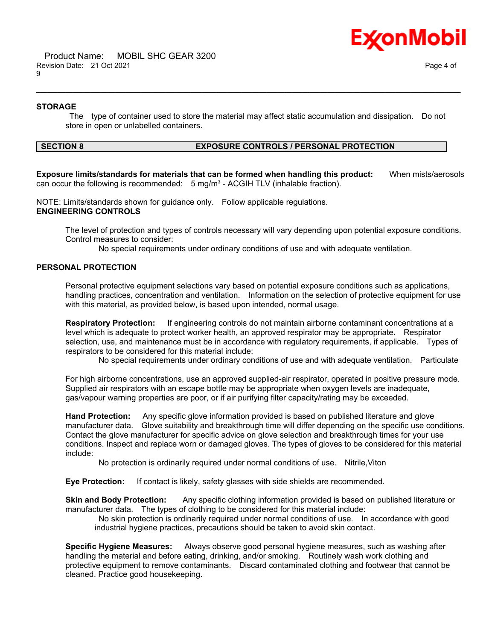

#### **STORAGE**

The type of container used to store the material may affect static accumulation and dissipation. Do not store in open or unlabelled containers.

\_\_\_\_\_\_\_\_\_\_\_\_\_\_\_\_\_\_\_\_\_\_\_\_\_\_\_\_\_\_\_\_\_\_\_\_\_\_\_\_\_\_\_\_\_\_\_\_\_\_\_\_\_\_\_\_\_\_\_\_\_\_\_\_\_\_\_\_\_\_\_\_\_\_\_\_\_\_\_\_\_\_\_\_\_\_\_\_\_\_\_\_\_\_\_\_\_\_\_\_\_\_\_\_\_\_\_\_\_\_\_\_\_\_\_\_\_\_

# **SECTION 8 EXPOSURE CONTROLS / PERSONAL PROTECTION**

**Exposure limits/standards for materials that can be formed when handling this product:** When mists/aerosols can occur the following is recommended:  $5 \text{ mg/m}^3$  - ACGIH TLV (inhalable fraction).

NOTE: Limits/standards shown for guidance only. Follow applicable regulations. **ENGINEERING CONTROLS**

The level of protection and types of controls necessary will vary depending upon potential exposure conditions. Control measures to consider:

No special requirements under ordinary conditions of use and with adequate ventilation.

# **PERSONAL PROTECTION**

Personal protective equipment selections vary based on potential exposure conditions such as applications, handling practices, concentration and ventilation. Information on the selection of protective equipment for use with this material, as provided below, is based upon intended, normal usage.

**Respiratory Protection:** If engineering controls do not maintain airborne contaminant concentrations at a level which is adequate to protect worker health, an approved respirator may be appropriate. Respirator selection, use, and maintenance must be in accordance with regulatory requirements, if applicable. Types of respirators to be considered for this material include:

No special requirements under ordinary conditions of use and with adequate ventilation. Particulate

For high airborne concentrations, use an approved supplied-air respirator, operated in positive pressure mode. Supplied air respirators with an escape bottle may be appropriate when oxygen levels are inadequate, gas/vapour warning properties are poor, or if air purifying filter capacity/rating may be exceeded.

**Hand Protection:** Any specific glove information provided is based on published literature and glove manufacturer data. Glove suitability and breakthrough time will differ depending on the specific use conditions. Contact the glove manufacturer for specific advice on glove selection and breakthrough times for your use conditions. Inspect and replace worn or damaged gloves. The types of gloves to be considered for this material include:

No protection is ordinarily required under normal conditions of use. Nitrile,Viton

**Eye Protection:** If contact is likely, safety glasses with side shields are recommended.

**Skin and Body Protection:** Any specific clothing information provided is based on published literature or manufacturer data. The types of clothing to be considered for this material include:

No skin protection is ordinarily required under normal conditions of use. In accordance with good industrial hygiene practices, precautions should be taken to avoid skin contact.

**Specific Hygiene Measures:** Always observe good personal hygiene measures, such as washing after handling the material and before eating, drinking, and/or smoking. Routinely wash work clothing and protective equipment to remove contaminants. Discard contaminated clothing and footwear that cannot be cleaned. Practice good housekeeping.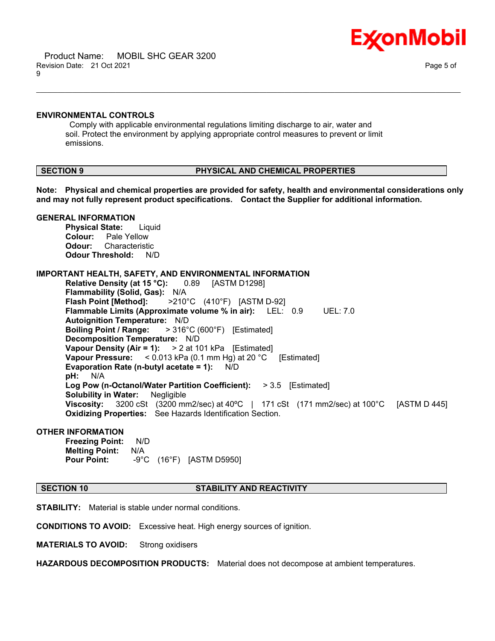



#### **ENVIRONMENTAL CONTROLS**

Comply with applicable environmental regulations limiting discharge to air, water and soil. Protect the environment by applying appropriate control measures to prevent or limit emissions.

#### **SECTION 9 PHYSICAL AND CHEMICAL PROPERTIES**

**Note: Physical and chemical properties are provided for safety, health and environmental considerations only and may not fully represent product specifications. Contact the Supplier for additional information.**

\_\_\_\_\_\_\_\_\_\_\_\_\_\_\_\_\_\_\_\_\_\_\_\_\_\_\_\_\_\_\_\_\_\_\_\_\_\_\_\_\_\_\_\_\_\_\_\_\_\_\_\_\_\_\_\_\_\_\_\_\_\_\_\_\_\_\_\_\_\_\_\_\_\_\_\_\_\_\_\_\_\_\_\_\_\_\_\_\_\_\_\_\_\_\_\_\_\_\_\_\_\_\_\_\_\_\_\_\_\_\_\_\_\_\_\_\_\_

#### **GENERAL INFORMATION**

**Physical State:** Liquid **Colour:** Pale Yellow **Odour:** Characteristic **Odour Threshold:** N/D

#### **IMPORTANT HEALTH, SAFETY, AND ENVIRONMENTAL INFORMATION**

**Relative Density (at 15 °C):** 0.89 [ASTM D1298] **Flammability (Solid, Gas):** N/A **Flash Point [Method]:** >210°C (410°F) [ASTM D-92] **Flammable Limits (Approximate volume % in air):** LEL: 0.9 UEL: 7.0 **Autoignition Temperature:** N/D **Boiling Point / Range:** > 316°C (600°F) [Estimated] **Decomposition Temperature:** N/D **Vapour Density (Air = 1):** > 2 at 101 kPa [Estimated] **Vapour Pressure:** < 0.013 kPa (0.1 mm Hg) at 20 °C [Estimated] **Evaporation Rate (n-butyl acetate = 1):** N/D **pH:** N/A **Log Pow (n-Octanol/Water Partition Coefficient):** > 3.5 [Estimated] **Solubility in Water:** Negligible **Viscosity:** 3200 cSt (3200 mm2/sec) at 40ºC | 171 cSt (171 mm2/sec) at 100°C [ASTM D 445] **Oxidizing Properties:** See Hazards Identification Section.

#### **OTHER INFORMATION**

**Freezing Point:** N/D **Melting Point:** N/A **Pour Point:** -9°C (16°F) [ASTM D5950]

#### **SECTION 10 STABILITY AND REACTIVITY**

**STABILITY:** Material is stable under normal conditions.

**CONDITIONS TO AVOID:** Excessive heat. High energy sources of ignition.

**MATERIALS TO AVOID:** Strong oxidisers

**HAZARDOUS DECOMPOSITION PRODUCTS:** Material does not decompose at ambient temperatures.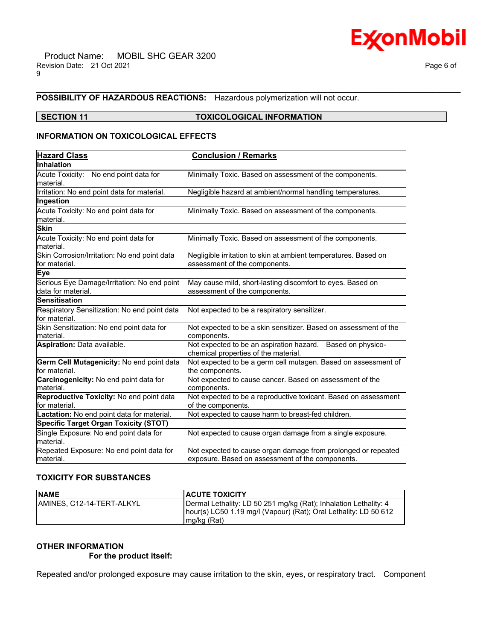

#### **POSSIBILITY OF HAZARDOUS REACTIONS:** Hazardous polymerization will not occur.

# **SECTION 11 TOXICOLOGICAL INFORMATION**

\_\_\_\_\_\_\_\_\_\_\_\_\_\_\_\_\_\_\_\_\_\_\_\_\_\_\_\_\_\_\_\_\_\_\_\_\_\_\_\_\_\_\_\_\_\_\_\_\_\_\_\_\_\_\_\_\_\_\_\_\_\_\_\_\_\_\_\_\_\_\_\_\_\_\_\_\_\_\_\_\_\_\_\_\_\_\_\_\_\_\_\_\_\_\_\_\_\_\_\_\_\_\_\_\_\_\_\_\_\_\_\_\_\_\_\_\_\_

# **INFORMATION ON TOXICOLOGICAL EFFECTS**

| <b>Hazard Class</b>                                               | <b>Conclusion / Remarks</b>                                                                                       |
|-------------------------------------------------------------------|-------------------------------------------------------------------------------------------------------------------|
| Inhalation                                                        |                                                                                                                   |
| Acute Toxicity: No end point data for<br>material.                | Minimally Toxic. Based on assessment of the components.                                                           |
| Irritation: No end point data for material.                       | Negligible hazard at ambient/normal handling temperatures.                                                        |
| Ingestion                                                         |                                                                                                                   |
| Acute Toxicity: No end point data for<br>material.                | Minimally Toxic. Based on assessment of the components.                                                           |
| <b>Skin</b>                                                       |                                                                                                                   |
| Acute Toxicity: No end point data for<br>material.                | Minimally Toxic. Based on assessment of the components.                                                           |
| Skin Corrosion/Irritation: No end point data<br>for material.     | Negligible irritation to skin at ambient temperatures. Based on<br>assessment of the components.                  |
| Eye                                                               |                                                                                                                   |
| Serious Eye Damage/Irritation: No end point<br>data for material. | May cause mild, short-lasting discomfort to eyes. Based on<br>assessment of the components.                       |
| <b>Sensitisation</b>                                              |                                                                                                                   |
| Respiratory Sensitization: No end point data<br>for material.     | Not expected to be a respiratory sensitizer.                                                                      |
| Skin Sensitization: No end point data for<br>material.            | Not expected to be a skin sensitizer. Based on assessment of the<br>components.                                   |
| Aspiration: Data available.                                       | Not expected to be an aspiration hazard. Based on physico-<br>chemical properties of the material.                |
| Germ Cell Mutagenicity: No end point data<br>for material.        | Not expected to be a germ cell mutagen. Based on assessment of<br>the components.                                 |
| Carcinogenicity: No end point data for<br>material.               | Not expected to cause cancer. Based on assessment of the<br>components.                                           |
| Reproductive Toxicity: No end point data<br>for material.         | Not expected to be a reproductive toxicant. Based on assessment<br>of the components.                             |
| Lactation: No end point data for material.                        | Not expected to cause harm to breast-fed children.                                                                |
| <b>Specific Target Organ Toxicity (STOT)</b>                      |                                                                                                                   |
| Single Exposure: No end point data for<br>material.               | Not expected to cause organ damage from a single exposure.                                                        |
| Repeated Exposure: No end point data for<br>material.             | Not expected to cause organ damage from prolonged or repeated<br>exposure. Based on assessment of the components. |

# **TOXICITY FOR SUBSTANCES**

| <b>NAME</b>                | <b>ACUTE TOXICITY</b>                                            |
|----------------------------|------------------------------------------------------------------|
| IAMINES. C12-14-TERT-ALKYL | Dermal Lethality: LD 50 251 mg/kg (Rat); Inhalation Lethality: 4 |
|                            | hour(s) LC50 1.19 mg/l (Vapour) (Rat); Oral Lethality: LD 50 612 |
|                            | $mg/kg$ (Rat)                                                    |

# **OTHER INFORMATION**

 **For the product itself:** 

Repeated and/or prolonged exposure may cause irritation to the skin, eyes, or respiratory tract. Component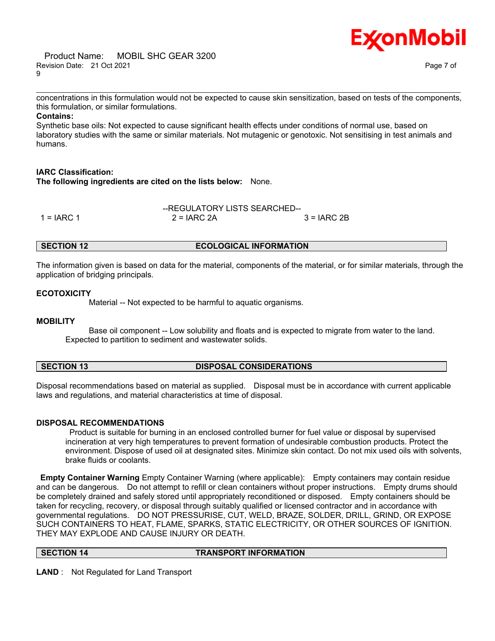#### Product Name: MOBIL SHC GEAR 3200 Revision Date: 21 Oct 2021 Page 7 of 9



\_\_\_\_\_\_\_\_\_\_\_\_\_\_\_\_\_\_\_\_\_\_\_\_\_\_\_\_\_\_\_\_\_\_\_\_\_\_\_\_\_\_\_\_\_\_\_\_\_\_\_\_\_\_\_\_\_\_\_\_\_\_\_\_\_\_\_\_\_\_\_\_\_\_\_\_\_\_\_\_\_\_\_\_\_\_\_\_\_\_\_\_\_\_\_\_\_\_\_\_\_\_\_\_\_\_\_\_\_\_\_\_\_\_\_\_\_\_ concentrations in this formulation would not be expected to cause skin sensitization, based on tests of the components, this formulation, or similar formulations.

# **Contains:**

Synthetic base oils: Not expected to cause significant health effects under conditions of normal use, based on laboratory studies with the same or similar materials. Not mutagenic or genotoxic. Not sensitising in test animals and humans.

# **IARC Classification:**

**The following ingredients are cited on the lists below:** None.

|               | --REGULATORY LISTS SEARCHED-- |               |
|---------------|-------------------------------|---------------|
| 1 = $I$ ARC 1 | $2 = IARC$ 2A                 | $3 = IARC 2B$ |

#### **SECTION 12 ECOLOGICAL INFORMATION**

The information given is based on data for the material, components of the material, or for similar materials, through the application of bridging principals.

# **ECOTOXICITY**

Material -- Not expected to be harmful to aquatic organisms.

# **MOBILITY**

 Base oil component -- Low solubility and floats and is expected to migrate from water to the land. Expected to partition to sediment and wastewater solids.

| <b>SECTION 13</b> | <b>DISPOSAL CONSIDERATIONS</b> |
|-------------------|--------------------------------|
|-------------------|--------------------------------|

Disposal recommendations based on material as supplied. Disposal must be in accordance with current applicable laws and regulations, and material characteristics at time of disposal.

# **DISPOSAL RECOMMENDATIONS**

Product is suitable for burning in an enclosed controlled burner for fuel value or disposal by supervised incineration at very high temperatures to prevent formation of undesirable combustion products. Protect the environment. Dispose of used oil at designated sites. Minimize skin contact. Do not mix used oils with solvents, brake fluids or coolants.

**Empty Container Warning** Empty Container Warning (where applicable): Empty containers may contain residue and can be dangerous. Do not attempt to refill or clean containers without proper instructions. Empty drums should be completely drained and safely stored until appropriately reconditioned or disposed. Empty containers should be taken for recycling, recovery, or disposal through suitably qualified or licensed contractor and in accordance with governmental regulations. DO NOT PRESSURISE, CUT, WELD, BRAZE, SOLDER, DRILL, GRIND, OR EXPOSE SUCH CONTAINERS TO HEAT, FLAME, SPARKS, STATIC ELECTRICITY, OR OTHER SOURCES OF IGNITION. THEY MAY EXPLODE AND CAUSE INJURY OR DEATH.

# **SECTION 14 TRANSPORT INFORMATION**

**LAND** : Not Regulated for Land Transport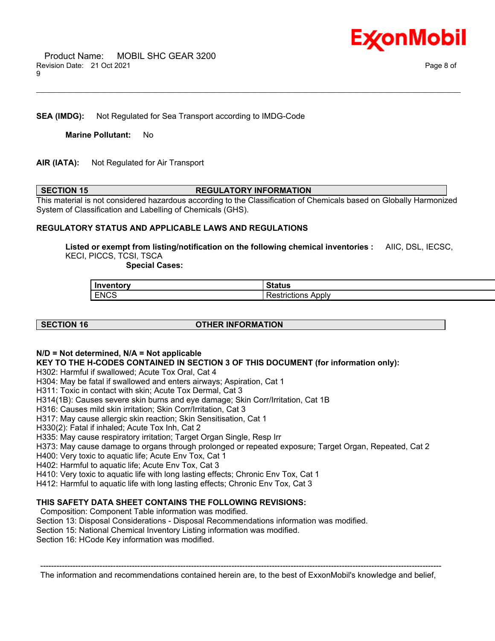

# **SEA (IMDG):** Not Regulated for Sea Transport according to IMDG-Code

**Marine Pollutant:** No

# **AIR (IATA):** Not Regulated for Air Transport

#### **SECTION 15 REGULATORY INFORMATION**

\_\_\_\_\_\_\_\_\_\_\_\_\_\_\_\_\_\_\_\_\_\_\_\_\_\_\_\_\_\_\_\_\_\_\_\_\_\_\_\_\_\_\_\_\_\_\_\_\_\_\_\_\_\_\_\_\_\_\_\_\_\_\_\_\_\_\_\_\_\_\_\_\_\_\_\_\_\_\_\_\_\_\_\_\_\_\_\_\_\_\_\_\_\_\_\_\_\_\_\_\_\_\_\_\_\_\_\_\_\_\_\_\_\_\_\_\_\_

This material is not considered hazardous according to the Classification of Chemicals based on Globally Harmonized System of Classification and Labelling of Chemicals (GHS).

#### **REGULATORY STATUS AND APPLICABLE LAWS AND REGULATIONS**

**Listed or exempt from listing/notification on the following chemical inventories :** AIIC, DSL, IECSC, KECI, PICCS, TCSI, TSCA

 **Special Cases:**

| Inventory   | 1LUS                             |
|-------------|----------------------------------|
| <b>ENCS</b> | Apply<br>$- - -$<br>Restrictions |

# **SECTION 16 OTHER INFORMATION**

# **N/D = Not determined, N/A = Not applicable**

**KEY TO THE H-CODES CONTAINED IN SECTION 3 OF THIS DOCUMENT (for information only):**

H302: Harmful if swallowed; Acute Tox Oral, Cat 4

H304: May be fatal if swallowed and enters airways; Aspiration, Cat 1

H311: Toxic in contact with skin; Acute Tox Dermal, Cat 3

H314(1B): Causes severe skin burns and eye damage; Skin Corr/Irritation, Cat 1B

H316: Causes mild skin irritation; Skin Corr/Irritation, Cat 3

H317: May cause allergic skin reaction; Skin Sensitisation, Cat 1

H330(2): Fatal if inhaled; Acute Tox Inh, Cat 2

H335: May cause respiratory irritation; Target Organ Single, Resp Irr

H373: May cause damage to organs through prolonged or repeated exposure; Target Organ, Repeated, Cat 2

H400: Very toxic to aquatic life; Acute Env Tox, Cat 1

H402: Harmful to aquatic life; Acute Env Tox, Cat 3

H410: Very toxic to aquatic life with long lasting effects; Chronic Env Tox, Cat 1

H412: Harmful to aquatic life with long lasting effects; Chronic Env Tox, Cat 3

# **THIS SAFETY DATA SHEET CONTAINS THE FOLLOWING REVISIONS:**

Composition: Component Table information was modified.

Section 13: Disposal Considerations - Disposal Recommendations information was modified.

Section 15: National Chemical Inventory Listing information was modified.

Section 16: HCode Key information was modified.

----------------------------------------------------------------------------------------------------------------------------------------------------- The information and recommendations contained herein are, to the best of ExxonMobil's knowledge and belief,